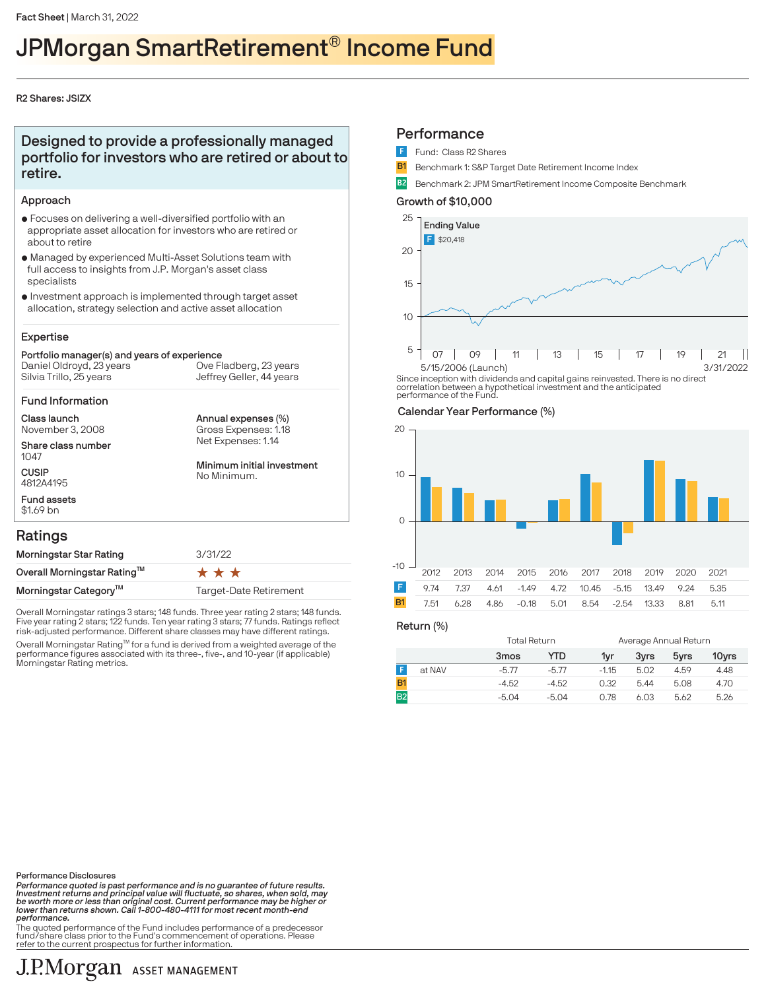# JPMorgan SmartRetirement® Income Fund

#### R2 Shares: JSIZX

## Designed to provide a professionally managed portfolio for investors who are retired or about to retire.

#### Approach

- $\bullet$  Focuses on delivering a well-diversified portfolio with an appropriate asset allocation for investors who are retired or about to retire
- $\bullet$  Managed by experienced Multi-Asset Solutions team with full access to insights from J.P. Morgan's asset class specialists
- $\bullet$  Investment approach is implemented through target asset allocation, strategy selection and active asset allocation

## Expertise

#### Portfolio manager(s) and years of experience Silvia Trillo, 25 years Daniel Oldroyd, 23 years Jeffrey Geller, 44 years Ove Fladberg, 23 years

#### Fund Information

Class launch November 3, 2008

Share class number 1047

**CUSIP** 4812A4195 Fund assets Annual expenses (%) Net Expenses: 1.14 Gross Expenses: 1.18

Minimum initial investment No Minimum.

## Ratings

\$1.69 bn

| Morningstar Star Rating           | 3/31/22                |  |  |  |
|-----------------------------------|------------------------|--|--|--|
| Overall Morningstar Rating™       | ***                    |  |  |  |
| Morningstar Category <sup>™</sup> | Target-Date Retirement |  |  |  |

Overall Morningstar ratings 3 stars; 148 funds. Three year rating 2 stars; 148 funds. Five year rating 2 stars; 122 funds. Ten year rating 3 stars; 77 funds. Ratings reflect risk-adjusted performance. Different share classes may have different ratings.

Overall Morningstar Rating™ for a fund is derived from a weighted average of the performance figures associated with its three-, five-, and 10-year (if applicable) Morningstar Rating metrics.

## **Performance**

- Fund: Class R2 Shares
- **B1** Benchmark 1: S&P Target Date Retirement Income Index
- B2 Benchmark 2: JPM SmartRetirement Income Composite Benchmark

## Growth of \$10,000



Since inception with dividends and capital gains reinvested. There is no direct correlation between a hypothetical investment and the anticipated performance of the Fund.

## Calendar Year Performance (%)



Return (%)

|        | Total Return |         |         | Average Annual Return |      |       |  |
|--------|--------------|---------|---------|-----------------------|------|-------|--|
|        | 3mos         | YTD     | 1vr     | 3vrs                  | 5yrs | 10yrs |  |
| at NAV | $-5.77$      | $-5.77$ | $-1.15$ | 5.02                  | 4.59 | 4.48  |  |
|        | $-4.52$      | $-4.52$ | 0.32    | 5.44                  | 5.08 | 4.70  |  |
|        | $-5.04$      | $-5.04$ | 0.78    | 6.03                  | 5.62 | 5.26  |  |

Performance Disclosures

Performance quoted is past performance and is no guarantee of future results.<br>Investment returns and principal value will fluctuate, so shares, when sold, may<br>be worth more or less than original cost. Current performance m performance.

.<br>The quoted performance of the Fund includes performance of a predecessor fund/share class prior to the Fund's commencement of operations. Please refer to the current prospectus for further information.

## J.P.Morgan ASSET MANAGEMENT